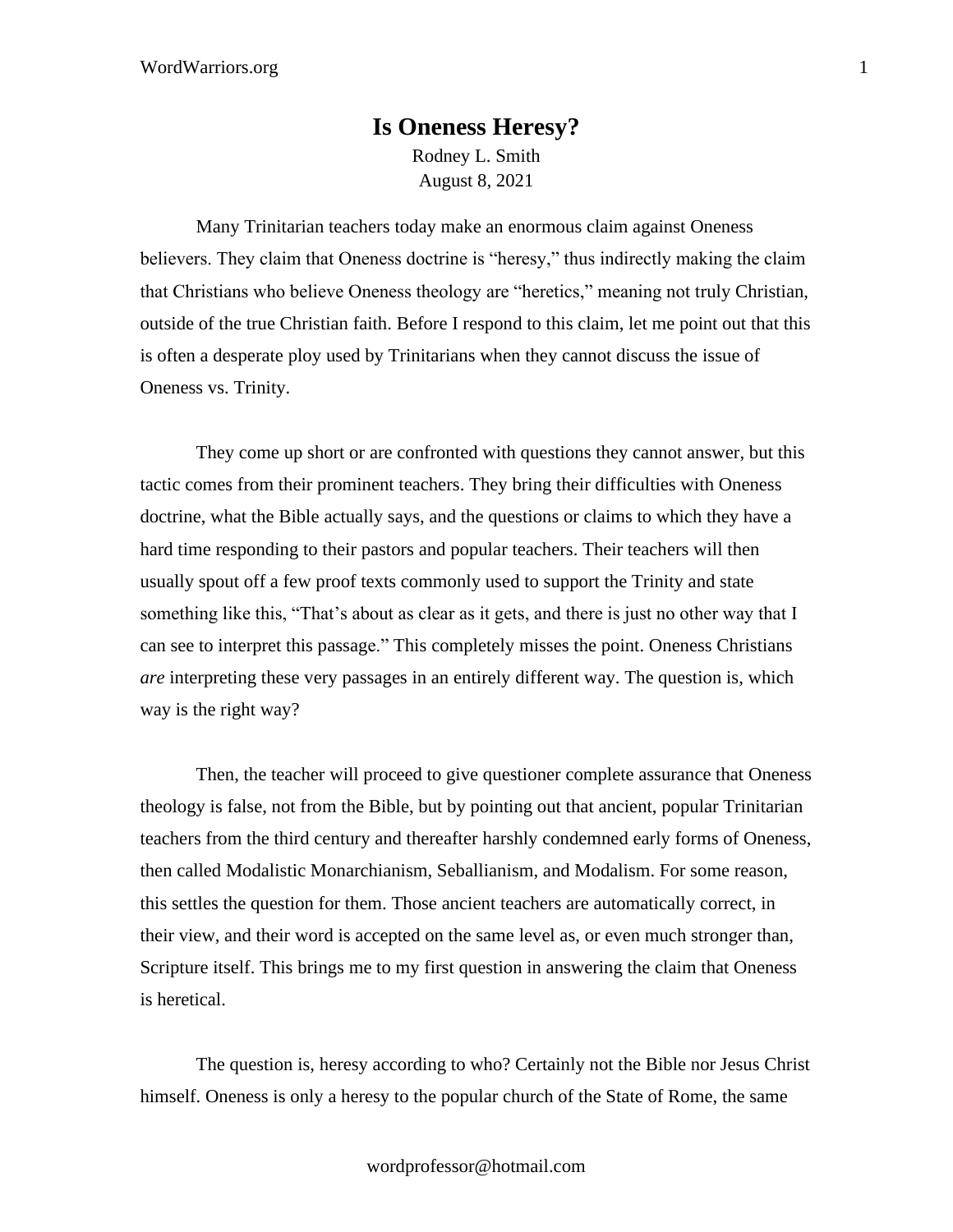## **Is Oneness Heresy?** Rodney L. Smith August 8, 2021

Many Trinitarian teachers today make an enormous claim against Oneness believers. They claim that Oneness doctrine is "heresy," thus indirectly making the claim that Christians who believe Oneness theology are "heretics," meaning not truly Christian, outside of the true Christian faith. Before I respond to this claim, let me point out that this is often a desperate ploy used by Trinitarians when they cannot discuss the issue of Oneness vs. Trinity.

They come up short or are confronted with questions they cannot answer, but this tactic comes from their prominent teachers. They bring their difficulties with Oneness doctrine, what the Bible actually says, and the questions or claims to which they have a hard time responding to their pastors and popular teachers. Their teachers will then usually spout off a few proof texts commonly used to support the Trinity and state something like this, "That's about as clear as it gets, and there is just no other way that I can see to interpret this passage." This completely misses the point. Oneness Christians *are* interpreting these very passages in an entirely different way. The question is, which way is the right way?

Then, the teacher will proceed to give questioner complete assurance that Oneness theology is false, not from the Bible, but by pointing out that ancient, popular Trinitarian teachers from the third century and thereafter harshly condemned early forms of Oneness, then called Modalistic Monarchianism, Seballianism, and Modalism. For some reason, this settles the question for them. Those ancient teachers are automatically correct, in their view, and their word is accepted on the same level as, or even much stronger than, Scripture itself. This brings me to my first question in answering the claim that Oneness is heretical.

The question is, heresy according to who? Certainly not the Bible nor Jesus Christ himself. Oneness is only a heresy to the popular church of the State of Rome, the same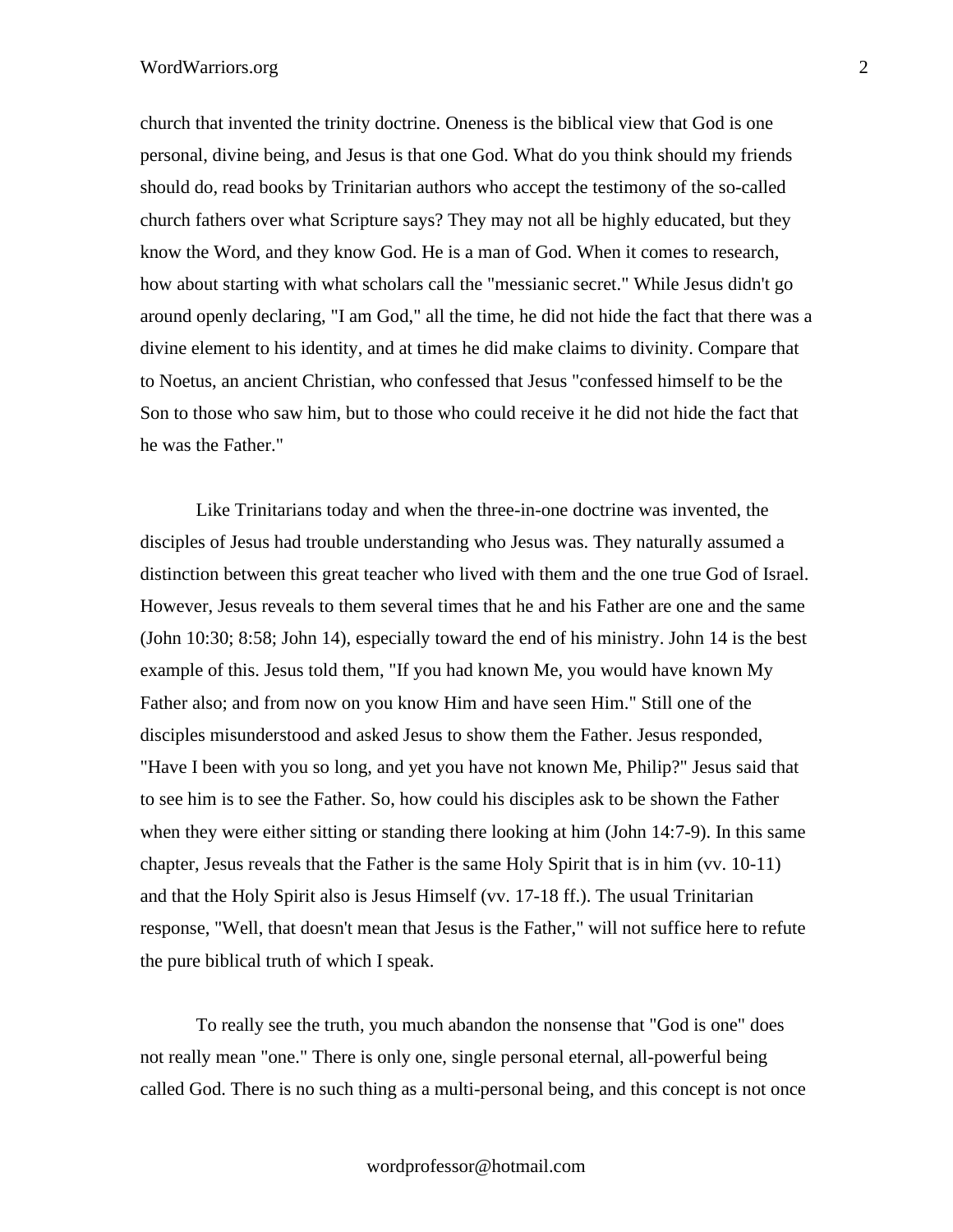## WordWarriors.org 2

church that invented the trinity doctrine. Oneness is the biblical view that God is one personal, divine being, and Jesus is that one God. What do you think should my friends should do, read books by Trinitarian authors who accept the testimony of the so-called church fathers over what Scripture says? They may not all be highly educated, but they know the Word, and they know God. He is a man of God. When it comes to research, how about starting with what scholars call the "messianic secret." While Jesus didn't go around openly declaring, "I am God," all the time, he did not hide the fact that there was a divine element to his identity, and at times he did make claims to divinity. Compare that to Noetus, an ancient Christian, who confessed that Jesus "confessed himself to be the Son to those who saw him, but to those who could receive it he did not hide the fact that he was the Father."

Like Trinitarians today and when the three-in-one doctrine was invented, the disciples of Jesus had trouble understanding who Jesus was. They naturally assumed a distinction between this great teacher who lived with them and the one true God of Israel. However, Jesus reveals to them several times that he and his Father are one and the same (John 10:30; 8:58; John 14), especially toward the end of his ministry. John 14 is the best example of this. Jesus told them, "If you had known Me, you would have known My Father also; and from now on you know Him and have seen Him." Still one of the disciples misunderstood and asked Jesus to show them the Father. Jesus responded, "Have I been with you so long, and yet you have not known Me, Philip?" Jesus said that to see him is to see the Father. So, how could his disciples ask to be shown the Father when they were either sitting or standing there looking at him (John 14:7-9). In this same chapter, Jesus reveals that the Father is the same Holy Spirit that is in him (vv. 10-11) and that the Holy Spirit also is Jesus Himself (vv. 17-18 ff.). The usual Trinitarian response, "Well, that doesn't mean that Jesus is the Father," will not suffice here to refute the pure biblical truth of which I speak.

To really see the truth, you much abandon the nonsense that "God is one" does not really mean "one." There is only one, single personal eternal, all-powerful being called God. There is no such thing as a multi-personal being, and this concept is not once

wordprofessor@hotmail.com